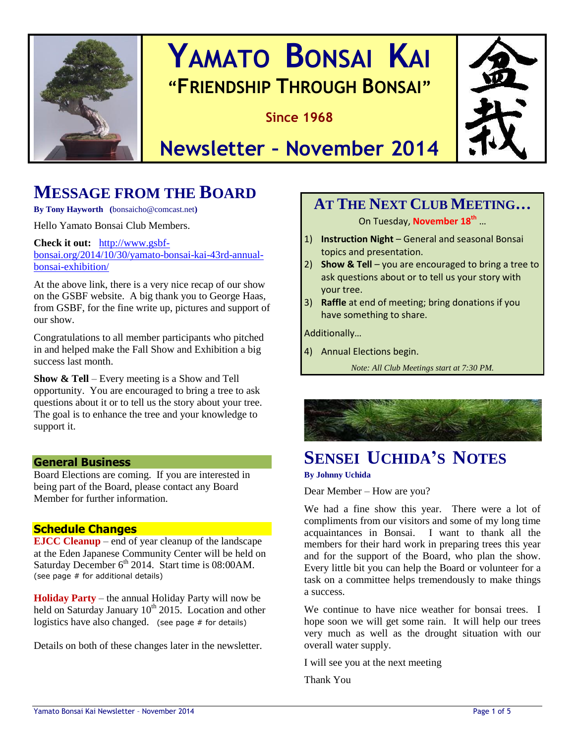

# **YAMATO BONSAI KAI "FRIENDSHIP THROUGH BONSAI"**

**Since 1968**



# **Newsletter – November 2014**

# **MESSAGE FROM THE BOARD**

**By Tony Hayworth (**bonsaicho@comcast.net**)**

Hello Yamato Bonsai Club Members.

**Check it out:** [http://www.gsbf](http://www.gsbf-bonsai.org/2014/10/30/yamato-bonsai-kai-43rd-annual-bonsai-exhibition/)[bonsai.org/2014/10/30/yamato-bonsai-kai-43rd-annual](http://www.gsbf-bonsai.org/2014/10/30/yamato-bonsai-kai-43rd-annual-bonsai-exhibition/)[bonsai-exhibition/](http://www.gsbf-bonsai.org/2014/10/30/yamato-bonsai-kai-43rd-annual-bonsai-exhibition/)

At the above link, there is a very nice recap of our show on the GSBF website. A big thank you to George Haas, from GSBF, for the fine write up, pictures and support of our show.

Congratulations to all member participants who pitched in and helped make the Fall Show and Exhibition a big success last month.

**Show & Tell** – Every meeting is a Show and Tell opportunity. You are encouraged to bring a tree to ask questions about it or to tell us the story about your tree. The goal is to enhance the tree and your knowledge to support it.

#### **General Business**

Board Elections are coming. If you are interested in being part of the Board, please contact any Board Member for further information.

#### **Schedule Changes**

**EJCC Cleanup** – end of year cleanup of the landscape at the Eden Japanese Community Center will be held on Saturday December 6<sup>th</sup> 2014. Start time is 08:00AM. (see page # for additional details)

**Holiday Party** – the annual Holiday Party will now be held on Saturday January  $10^{th}$  2015. Location and other logistics have also changed. (see page # for details)

Details on both of these changes later in the newsletter.

# **AT THE NEXT CLUB MEETING…**

On Tuesday, **November 18 th** …

- 1) **Instruction Night** General and seasonal Bonsai topics and presentation.
- 2) **Show & Tell** you are encouraged to bring a tree to ask questions about or to tell us your story with your tree.
- 3) **Raffle** at end of meeting; bring donations if you have something to share.

Additionally…

4) Annual Elections begin.

*Note: All Club Meetings start at 7:30 PM.*



# **SENSEI UCHIDA'S NOTES**

#### **By Johnny Uchida**

Dear Member – How are you?

We had a fine show this year. There were a lot of compliments from our visitors and some of my long time acquaintances in Bonsai. I want to thank all the members for their hard work in preparing trees this year and for the support of the Board, who plan the show. Every little bit you can help the Board or volunteer for a task on a committee helps tremendously to make things a success.

We continue to have nice weather for bonsai trees. I hope soon we will get some rain. It will help our trees very much as well as the drought situation with our overall water supply.

I will see you at the next meeting

Thank You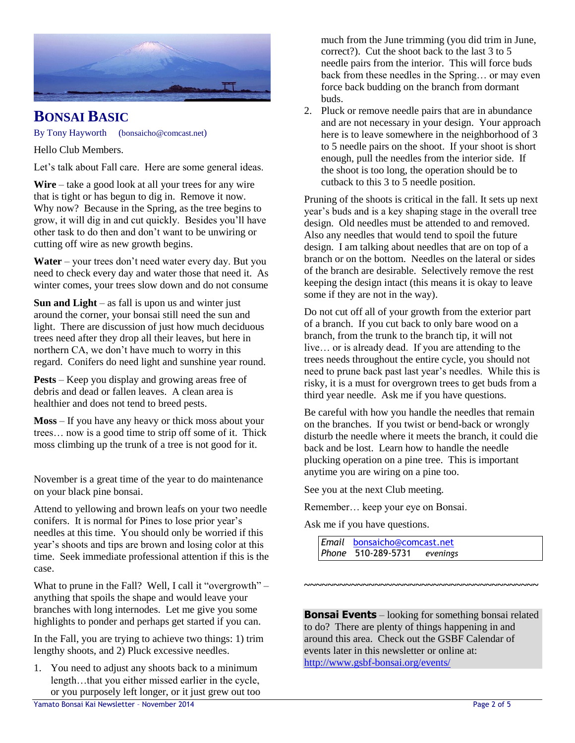

## **BONSAI BASIC**

By Tony Hayworth (bonsaicho@comcast.net)

Hello Club Members.

Let's talk about Fall care. Here are some general ideas.

**Wire** – take a good look at all your trees for any wire that is tight or has begun to dig in. Remove it now. Why now? Because in the Spring, as the tree begins to grow, it will dig in and cut quickly. Besides you'll have other task to do then and don't want to be unwiring or cutting off wire as new growth begins.

**Water** – your trees don't need water every day. But you need to check every day and water those that need it. As winter comes, your trees slow down and do not consume

**Sun and Light** – as fall is upon us and winter just around the corner, your bonsai still need the sun and light. There are discussion of just how much deciduous trees need after they drop all their leaves, but here in northern CA, we don't have much to worry in this regard. Conifers do need light and sunshine year round.

**Pests** – Keep you display and growing areas free of debris and dead or fallen leaves. A clean area is healthier and does not tend to breed pests.

**Moss** – If you have any heavy or thick moss about your trees… now is a good time to strip off some of it. Thick moss climbing up the trunk of a tree is not good for it.

November is a great time of the year to do maintenance on your black pine bonsai.

Attend to yellowing and brown leafs on your two needle conifers. It is normal for Pines to lose prior year's needles at this time. You should only be worried if this year's shoots and tips are brown and losing color at this time. Seek immediate professional attention if this is the case.

What to prune in the Fall? Well, I call it "overgrowth" – anything that spoils the shape and would leave your branches with long internodes. Let me give you some highlights to ponder and perhaps get started if you can.

In the Fall, you are trying to achieve two things: 1) trim lengthy shoots, and 2) Pluck excessive needles.

1. You need to adjust any shoots back to a minimum length...that you either missed earlier in the cycle, or you purposely left longer, or it just grew out too much from the June trimming (you did trim in June, correct?). Cut the shoot back to the last 3 to 5 needle pairs from the interior. This will force buds back from these needles in the Spring… or may even force back budding on the branch from dormant buds.

2. Pluck or remove needle pairs that are in abundance and are not necessary in your design. Your approach here is to leave somewhere in the neighborhood of 3 to 5 needle pairs on the shoot. If your shoot is short enough, pull the needles from the interior side. If the shoot is too long, the operation should be to cutback to this 3 to 5 needle position.

Pruning of the shoots is critical in the fall. It sets up next year's buds and is a key shaping stage in the overall tree design. Old needles must be attended to and removed. Also any needles that would tend to spoil the future design. I am talking about needles that are on top of a branch or on the bottom. Needles on the lateral or sides of the branch are desirable. Selectively remove the rest keeping the design intact (this means it is okay to leave some if they are not in the way).

Do not cut off all of your growth from the exterior part of a branch. If you cut back to only bare wood on a branch, from the trunk to the branch tip, it will not live… or is already dead. If you are attending to the trees needs throughout the entire cycle, you should not need to prune back past last year's needles. While this is risky, it is a must for overgrown trees to get buds from a third year needle. Ask me if you have questions.

Be careful with how you handle the needles that remain on the branches. If you twist or bend-back or wrongly disturb the needle where it meets the branch, it could die back and be lost. Learn how to handle the needle plucking operation on a pine tree. This is important anytime you are wiring on a pine too.

See you at the next Club meeting.

Remember… keep your eye on Bonsai.

Ask me if you have questions.

*Email* [bonsaicho@comcast.net](mailto:bonsaicho@comcast.net)  *Phone* 510-289-5731 *evenings*

**Bonsai Events** – looking for something bonsai related to do? There are plenty of things happening in and around this area. Check out the GSBF Calendar of events later in this newsletter or online at: <http://www.gsbf-bonsai.org/events/>

**~~~~~~~~~~~~~~~~~~~~~~~~~~~~~~~~~~~~~~~~**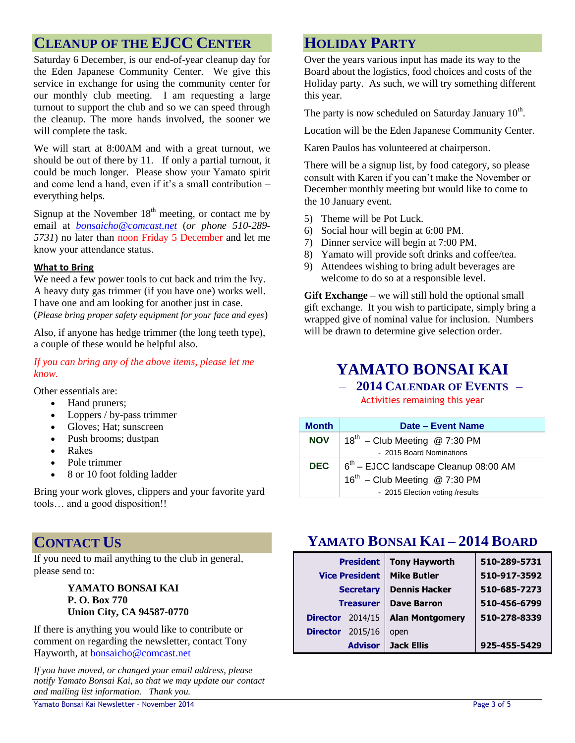# **CLEANUP OF THE EJCC CENTER**

Saturday 6 December, is our end-of-year cleanup day for the Eden Japanese Community Center. We give this service in exchange for using the community center for our monthly club meeting. I am requesting a large turnout to support the club and so we can speed through the cleanup. The more hands involved, the sooner we will complete the task.

We will start at 8:00AM and with a great turnout, we should be out of there by 11. If only a partial turnout, it could be much longer. Please show your Yamato spirit and come lend a hand, even if it's a small contribution – everything helps.

Signup at the November  $18<sup>th</sup>$  meeting, or contact me by email at *[bonsaicho@comcast.net](mailto:bonsaicho@comcast.net)* (*or phone 510-289- 5731*) no later than noon Friday 5 December and let me know your attendance status.

#### **What to Bring**

We need a few power tools to cut back and trim the Ivy. A heavy duty gas trimmer (if you have one) works well. I have one and am looking for another just in case. (*Please bring proper safety equipment for your face and eyes*)

Also, if anyone has hedge trimmer (the long teeth type), a couple of these would be helpful also.

*If you can bring any of the above items, please let me know.*

Other essentials are:

- Hand pruners;
- Loppers / by-pass trimmer
- Gloves; Hat; sunscreen
- Push brooms; dustpan
- Rakes
- Pole trimmer
- 8 or 10 foot folding ladder

Bring your work gloves, clippers and your favorite yard tools… and a good disposition!!

### **CONTACT US**

If you need to mail anything to the club in general, please send to:

#### **YAMATO BONSAI KAI P. O. Box 770 Union City, CA 94587-0770**

If there is anything you would like to contribute or comment on regarding the newsletter, contact Tony Hayworth, at [bonsaicho@comcast.net](mailto:bonsaicho@comcast.net)

*If you have moved, or changed your email address, please notify Yamato Bonsai Kai, so that we may update our contact and mailing list information. Thank you.*

### **HOLIDAY PARTY**

Over the years various input has made its way to the Board about the logistics, food choices and costs of the Holiday party. As such, we will try something different this year.

The party is now scheduled on Saturday January  $10<sup>th</sup>$ .

Location will be the Eden Japanese Community Center.

Karen Paulos has volunteered at chairperson.

There will be a signup list, by food category, so please consult with Karen if you can't make the November or December monthly meeting but would like to come to the 10 January event.

- 5) Theme will be Pot Luck.
- 6) Social hour will begin at 6:00 PM.
- 7) Dinner service will begin at 7:00 PM.
- 8) Yamato will provide soft drinks and coffee/tea.
- 9) Attendees wishing to bring adult beverages are welcome to do so at a responsible level.

**Gift Exchange** – we will still hold the optional small gift exchange. It you wish to participate, simply bring a wrapped give of nominal value for inclusion. Numbers will be drawn to determine give selection order.

# **YAMATO BONSAI KAI**

#### – **2014 CALENDAR OF EVENTS –**

Activities remaining this year

| <b>Month</b> | Date - Event Name                         |  |
|--------------|-------------------------------------------|--|
| <b>NOV</b>   | $18^{th}$ – Club Meeting @ 7:30 PM        |  |
|              | - 2015 Board Nominations                  |  |
| DEC          | $6th$ – EJCC landscape Cleanup 08:00 AM   |  |
|              | $16^{\text{th}}$ – Club Meeting @ 7:30 PM |  |
|              | - 2015 Election voting /results           |  |

# **YAMATO BONSAI KAI – 2014 BOARD**

| <b>President</b><br><b>Vice President</b><br><b>Secretary</b> |                | <b>Tony Hayworth</b><br><b>Mike Butler</b><br><b>Dennis Hacker</b> | 510-289-5731<br>510-917-3592<br>510-685-7273 |
|---------------------------------------------------------------|----------------|--------------------------------------------------------------------|----------------------------------------------|
| <b>Treasurer</b>                                              |                | <b>Dave Barron</b>                                                 | 510-456-6799                                 |
| <b>Director</b>                                               | 2014/15        | <b>Alan Montgomery</b>                                             | 510-278-8339                                 |
| <b>Director</b>                                               | 2015/16        | open                                                               |                                              |
|                                                               | <b>Advisor</b> | <b>Jack Ellis</b>                                                  | 925-455-5429                                 |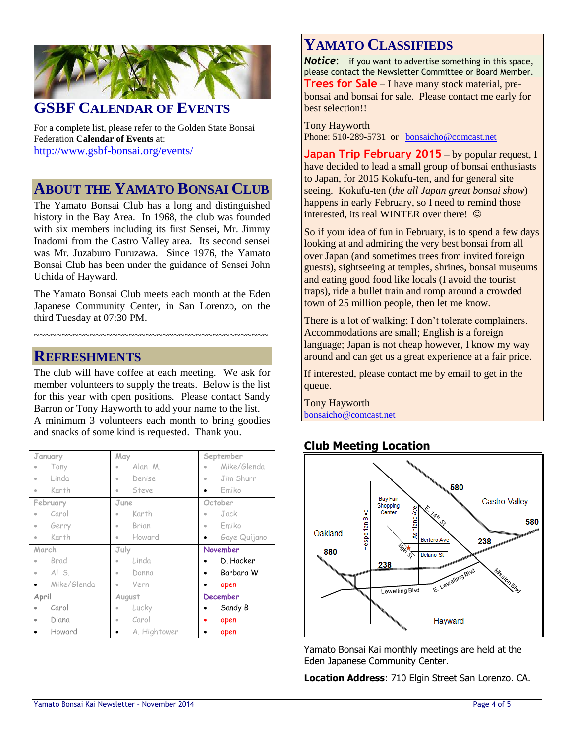

### **GSBF CALENDAR OF EVENTS**

For a complete list, please refer to the Golden State Bonsai Federation **Calendar of Events** at: <http://www.gsbf-bonsai.org/events/>

### **ABOUT THE YAMATO BONSAI CLUB**

The Yamato Bonsai Club has a long and distinguished history in the Bay Area. In 1968, the club was founded with six members including its first Sensei, Mr. Jimmy Inadomi from the Castro Valley area. Its second sensei was Mr. Juzaburo Furuzawa. Since 1976, the Yamato Bonsai Club has been under the guidance of Sensei John Uchida of Hayward.

The Yamato Bonsai Club meets each month at the Eden Japanese Community Center, in San Lorenzo, on the third Tuesday at 07:30 PM.

~~~~~~~~~~~~~~~~~~~~~~~~~~~~~~~~~~~~~~~~~~

#### **REFRESHMENTS**

The club will have coffee at each meeting. We ask for member volunteers to supply the treats. Below is the list for this year with open positions. Please contact Sandy Barron or Tony Hayworth to add your name to the list. A minimum 3 volunteers each month to bring goodies and snacks of some kind is requested. Thank you.

| January                        | May                     | September                |
|--------------------------------|-------------------------|--------------------------|
| Tony                           | Alan M.<br>$\bullet$    | Mike/Glenda<br>$\bullet$ |
| Linda<br>ö                     | Denise<br>۰             | Jim Shurr<br>$\bullet$   |
| Karth<br>۰                     | Steve<br>۰              | Fmiko                    |
| February                       | June                    | October                  |
| Carol                          | Karth                   | Jack<br>۰                |
| Gerry<br>۰                     | Brian<br>۰              | Emiko<br>$\bullet$       |
| Karth<br>$\qquad \qquad \circ$ | Howard<br>$\bullet$     | Gaye Quijano             |
|                                |                         |                          |
| March                          | July                    | <b>November</b>          |
| Brad                           | Linda<br>$\bullet$      | D. Hacker                |
| $AI$ S.<br>$\bullet$           | Donna<br>۰              | Barbara W                |
| Mike/Glenda                    | Vern<br>۰               | open                     |
| April                          | August                  | <b>December</b>          |
| Carol                          | Lucky<br>$\bullet$      | Sandy B                  |
| Diana<br>۰                     | Carol<br>$\blacksquare$ | open                     |

# **YAMATO CLASSIFIEDS**

**Notice:** if you want to advertise something in this space, please contact the Newsletter Committee or Board Member. **Trees for Sale** – I have many stock material, prebonsai and bonsai for sale. Please contact me early for best selection!!

Tony Hayworth Phone: 510-289-5731 or [bonsaicho@comcast.net](mailto:bonsaicho@comcast.net)

**Japan Trip February 2015** – by popular request, I have decided to lead a small group of bonsai enthusiasts to Japan, for 2015 Kokufu-ten, and for general site seeing. Kokufu-ten (*the all Japan great bonsai show*) happens in early February, so I need to remind those interested, its real WINTER over there! ©

So if your idea of fun in February, is to spend a few days looking at and admiring the very best bonsai from all over Japan (and sometimes trees from invited foreign guests), sightseeing at temples, shrines, bonsai museums and eating good food like locals (I avoid the tourist traps), ride a bullet train and romp around a crowded town of 25 million people, then let me know.

There is a lot of walking; I don't tolerate complainers. Accommodations are small; English is a foreign language; Japan is not cheap however, I know my way around and can get us a great experience at a fair price.

If interested, please contact me by email to get in the queue.

Tony Hayworth [bonsaicho@comcast.net](mailto:bonsaicho@comcast.net)

### **Club Meeting Location**



Yamato Bonsai Kai monthly meetings are held at the Eden Japanese Community Center.

**Location Address**: 710 Elgin Street San Lorenzo. CA.